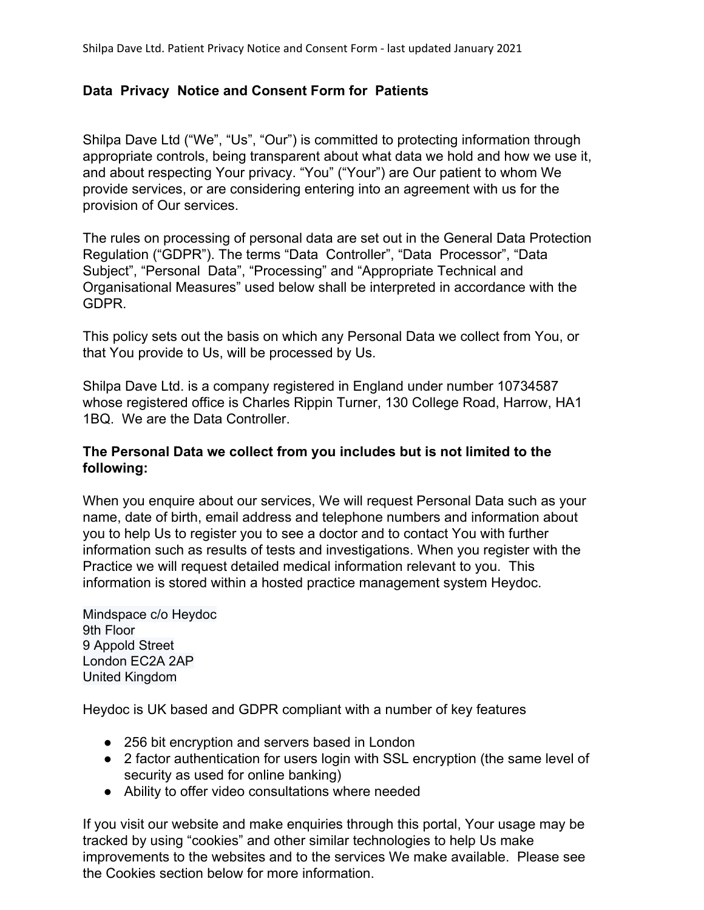# **Data Privacy Notice and Consent Form for Patients**

Shilpa Dave Ltd ("We", "Us", "Our") is committed to protecting information through appropriate controls, being transparent about what data we hold and how we use it, and about respecting Your privacy. "You" ("Your") are Our patient to whom We provide services, or are considering entering into an agreement with us for the provision of Our services.

The rules on processing of personal data are set out in the General Data Protection Regulation ("GDPR"). The terms "Data Controller", "Data Processor", "Data Subject", "Personal Data", "Processing" and "Appropriate Technical and Organisational Measures" used below shall be interpreted in accordance with the GDPR.

This policy sets out the basis on which any Personal Data we collect from You, or that You provide to Us, will be processed by Us.

Shilpa Dave Ltd. is a company registered in England under number 10734587 whose registered office is Charles Rippin Turner, 130 College Road, Harrow, HA1 1BQ. We are the Data Controller.

## **The Personal Data we collect from you includes but is not limited to the following:**

When you enquire about our services, We will request Personal Data such as your name, date of birth, email address and telephone numbers and information about you to help Us to register you to see a doctor and to contact You with further information such as results of tests and investigations. When you register with the Practice we will request detailed medical information relevant to you. This information is stored within a hosted practice management system Heydoc.

Mindspace c/o Heydoc 9th Floor 9 Appold Street London EC2A 2AP United Kingdom

Heydoc is UK based and GDPR compliant with a number of key features

- 256 bit encryption and servers based in London
- 2 factor authentication for users login with SSL encryption (the same level of security as used for online banking)
- Ability to offer video consultations where needed

If you visit our website and make enquiries through this portal, Your usage may be tracked by using "cookies" and other similar technologies to help Us make improvements to the websites and to the services We make available. Please see the Cookies section below for more information.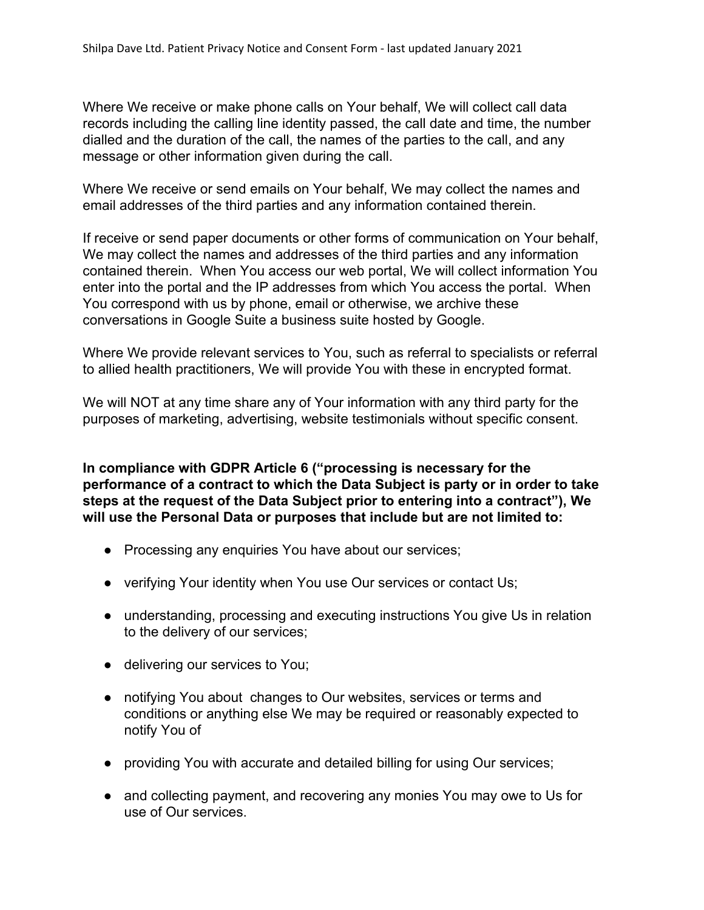Where We receive or make phone calls on Your behalf, We will collect call data records including the calling line identity passed, the call date and time, the number dialled and the duration of the call, the names of the parties to the call, and any message or other information given during the call.

Where We receive or send emails on Your behalf, We may collect the names and email addresses of the third parties and any information contained therein.

If receive or send paper documents or other forms of communication on Your behalf, We may collect the names and addresses of the third parties and any information contained therein. When You access our web portal, We will collect information You enter into the portal and the IP addresses from which You access the portal. When You correspond with us by phone, email or otherwise, we archive these conversations in Google Suite a business suite hosted by Google.

Where We provide relevant services to You, such as referral to specialists or referral to allied health practitioners, We will provide You with these in encrypted format.

We will NOT at any time share any of Your information with any third party for the purposes of marketing, advertising, website testimonials without specific consent.

**In compliance with GDPR Article 6 ("processing is necessary for the performance of a contract to which the Data Subject is party or in order to take steps at the request of the Data Subject prior to entering into a contract"), We will use the Personal Data or purposes that include but are not limited to:**

- Processing any enquiries You have about our services;
- verifying Your identity when You use Our services or contact Us;
- understanding, processing and executing instructions You give Us in relation to the delivery of our services;
- delivering our services to You;
- notifying You about changes to Our websites, services or terms and conditions or anything else We may be required or reasonably expected to notify You of
- providing You with accurate and detailed billing for using Our services;
- and collecting payment, and recovering any monies You may owe to Us for use of Our services.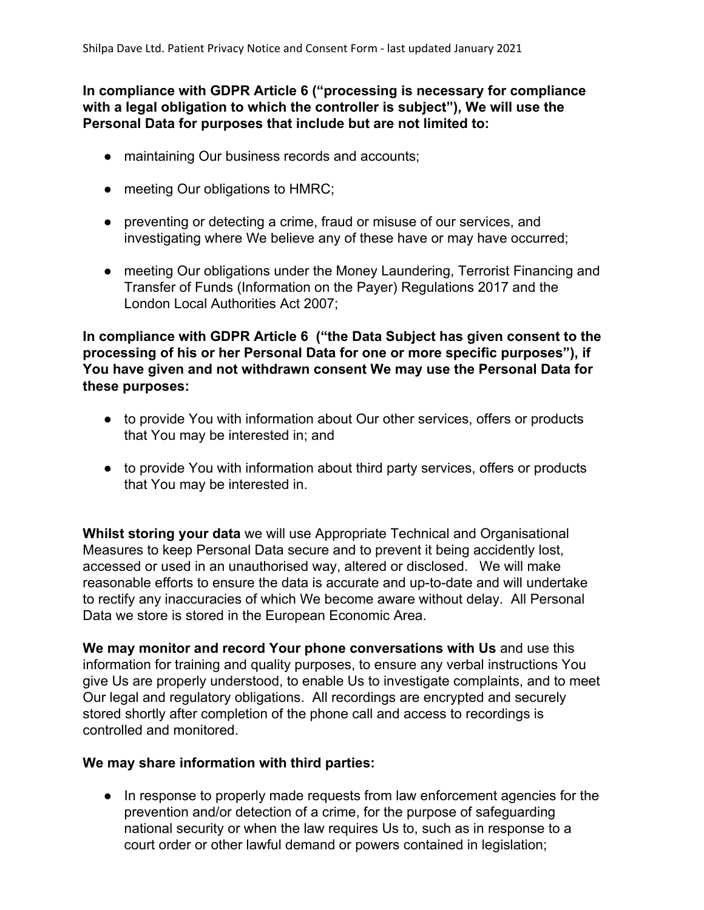**In compliance with GDPR Article 6 ("processing is necessary for compliance with a legal obligation to which the controller is subject"), We will use the Personal Data for purposes that include but are not limited to:**

- maintaining Our business records and accounts;
- meeting Our obligations to HMRC;
- preventing or detecting a crime, fraud or misuse of our services, and investigating where We believe any of these have or may have occurred;
- meeting Our obligations under the Money Laundering, Terrorist Financing and Transfer of Funds (Information on the Payer) Regulations 2017 and the London Local Authorities Act 2007;

**In compliance with GDPR Article 6 ("the Data Subject has given consent to the processing of his or her Personal Data for one or more specific purposes"), if You have given and not withdrawn consent We may use the Personal Data for these purposes:**

- to provide You with information about Our other services, offers or products that You may be interested in; and
- to provide You with information about third party services, offers or products that You may be interested in.

**Whilst storing your data** we will use Appropriate Technical and Organisational Measures to keep Personal Data secure and to prevent it being accidently lost, accessed or used in an unauthorised way, altered or disclosed. We will make reasonable efforts to ensure the data is accurate and up-to-date and will undertake to rectify any inaccuracies of which We become aware without delay. All Personal Data we store is stored in the European Economic Area.

**We may monitor and record Your phone conversations with Us** and use this information for training and quality purposes, to ensure any verbal instructions You give Us are properly understood, to enable Us to investigate complaints, and to meet Our legal and regulatory obligations. All recordings are encrypted and securely stored shortly after completion of the phone call and access to recordings is controlled and monitored.

#### **We may share information with third parties:**

● In response to properly made requests from law enforcement agencies for the prevention and/or detection of a crime, for the purpose of safeguarding national security or when the law requires Us to, such as in response to a court order or other lawful demand or powers contained in legislation;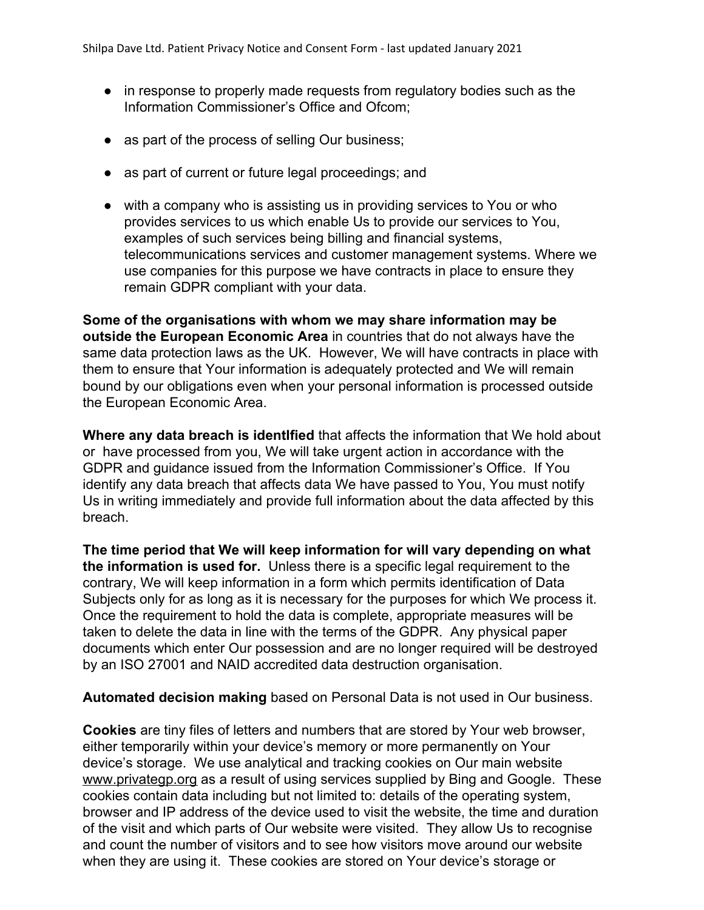- in response to properly made requests from regulatory bodies such as the Information Commissioner's Office and Ofcom;
- as part of the process of selling Our business;
- as part of current or future legal proceedings; and
- with a company who is assisting us in providing services to You or who provides services to us which enable Us to provide our services to You, examples of such services being billing and financial systems, telecommunications services and customer management systems. Where we use companies for this purpose we have contracts in place to ensure they remain GDPR compliant with your data.

**Some of the organisations with whom we may share information may be outside the European Economic Area** in countries that do not always have the same data protection laws as the UK. However, We will have contracts in place with them to ensure that Your information is adequately protected and We will remain bound by our obligations even when your personal information is processed outside the European Economic Area.

**Where any data breach is identIfied** that affects the information that We hold about or have processed from you, We will take urgent action in accordance with the GDPR and guidance issued from the Information Commissioner's Office. If You identify any data breach that affects data We have passed to You, You must notify Us in writing immediately and provide full information about the data affected by this breach.

**The time period that We will keep information for will vary depending on what the information is used for.** Unless there is a specific legal requirement to the contrary, We will keep information in a form which permits identification of Data Subjects only for as long as it is necessary for the purposes for which We process it. Once the requirement to hold the data is complete, appropriate measures will be taken to delete the data in line with the terms of the GDPR. Any physical paper documents which enter Our possession and are no longer required will be destroyed by an ISO 27001 and NAID accredited data destruction organisation.

**Automated decision making** based on Personal Data is not used in Our business.

**Cookies** are tiny files of letters and numbers that are stored by Your web browser, either temporarily within your device's memory or more permanently on Your device's storage.We use analytical and tracking cookies on Our main website www.privategp.org as a result of using services supplied by Bing and Google. These cookies contain data including but not limited to: details of the operating system, browser and IP address of the device used to visit the website, the time and duration of the visit and which parts of Our website were visited. They allow Us to recognise and count the number of visitors and to see how visitors move around our website when they are using it. These cookies are stored on Your device's storage or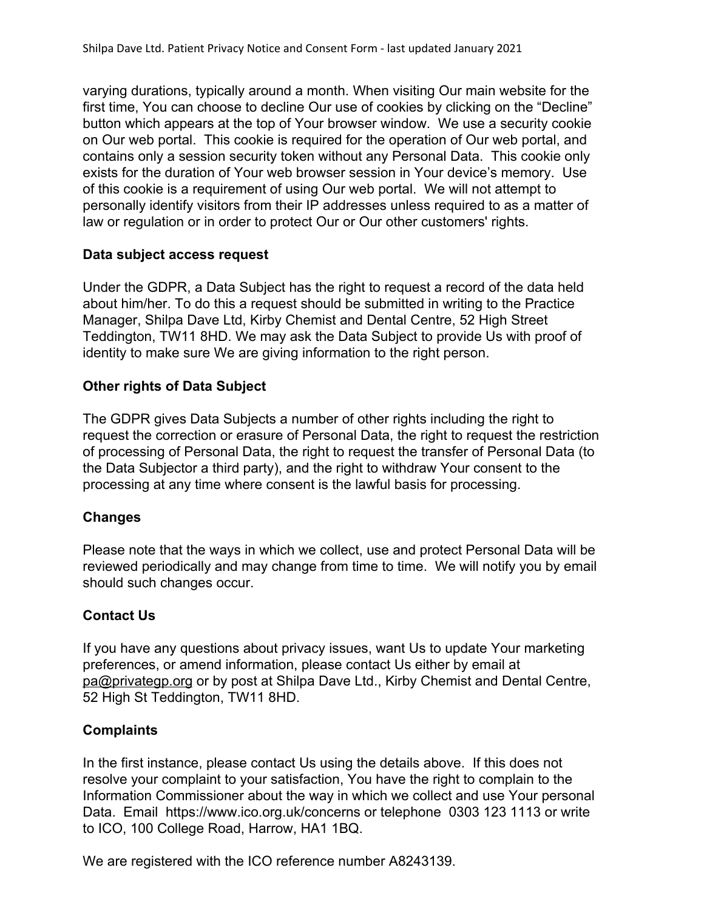varying durations, typically around a month. When visiting Our main website for the first time, You can choose to decline Our use of cookies by clicking on the "Decline" button which appears at the top of Your browser window. We use a security cookie on Our web portal. This cookie is required for the operation of Our web portal, and contains only a session security token without any Personal Data. This cookie only exists for the duration of Your web browser session in Your device's memory. Use of this cookie is a requirement of using Our web portal. We will not attempt to personally identify visitors from their IP addresses unless required to as a matter of law or regulation or in order to protect Our or Our other customers' rights.

#### **Data subject access request**

Under the GDPR, a Data Subject has the right to request a record of the data held about him/her. To do this a request should be submitted in writing to the Practice Manager, Shilpa Dave Ltd, Kirby Chemist and Dental Centre, 52 High Street Teddington, TW11 8HD. We may ask the Data Subject to provide Us with proof of identity to make sure We are giving information to the right person.

## **Other rights of Data Subject**

The GDPR gives Data Subjects a number of other rights including the right to request the correction or erasure of Personal Data, the right to request the restriction of processing of Personal Data, the right to request the transfer of Personal Data (to the Data Subjector a third party), and the right to withdraw Your consent to the processing at any time where consent is the lawful basis for processing.

## **Changes**

Please note that the ways in which we collect, use and protect Personal Data will be reviewed periodically and may change from time to time. We will notify you by email should such changes occur.

## **Contact Us**

If you have any questions about privacy issues, want Us to update Your marketing preferences, or amend information, please contact Us either by email at pa@privategp.org or by post at Shilpa Dave Ltd., Kirby Chemist and Dental Centre, 52 High St Teddington, TW11 8HD.

## **Complaints**

In the first instance, please contact Us using the details above. If this does not resolve your complaint to your satisfaction, You have the right to complain to the Information Commissioner about the way in which we collect and use Your personal Data. Email https://www.ico.org.uk/concerns or telephone 0303 123 1113 or write to ICO, 100 College Road, Harrow, HA1 1BQ.

We are registered with the ICO reference number A8243139.